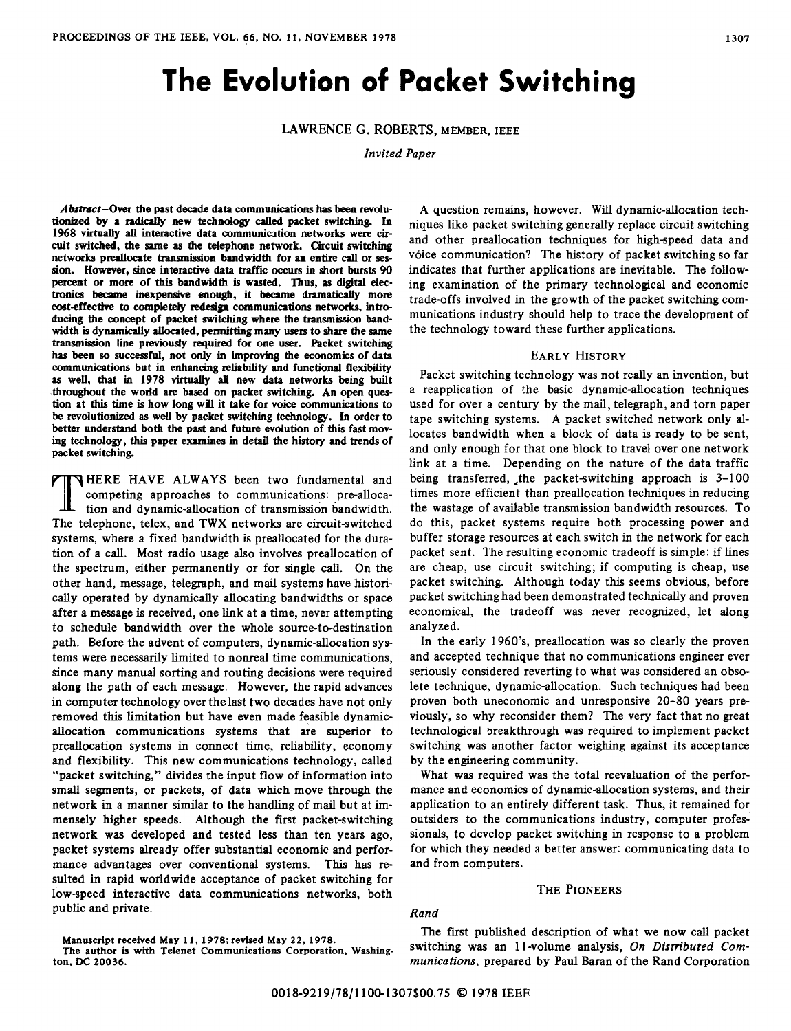# **The Evolution of Packet Switching**

LAWRENCE G. ROBERTS, MEMBER, IEEE

**Invited Paper** 

*Absmct-Over* the past decade **data** communications has **been** revolutionized by a radically new technology called packet switching. In 1968 virtually all interactive data communication networks were circuit switched, the same **as** the telephone network. Circuit switching networks preallocate transmission bandwidth for an entire call or ses**sion.** However, since interactive **data** WIC occurs **in** short bursts **<sup>90</sup>** percent or more of this bandwidth **is** wasted. Thus, **as digital** electronics became inexpensive enough, it became dramatically more cost-effective to completely redesign communications networks, introducing the concept of packet **switching** where the **transmission** bandwidth is dynamically allocated, permitting many **users** to share the same **transmission** Line previously *required* for one user. Packet switching **has been so** successful, not *only* in improving the economics of **data**  communications but in enhancing reliability and functional flexibility **as** well, that in **1978** virtualty **all** new **data** networks being built throughout the wodd **are** based **on** packet switching. **An** open ques**tion** at **this** time is how **long** wiU it take for voice communications to be revolutionized **as** well by packet switching technology. In order to better understand both the past and future evolution of this fast mov- ing technology, this paper examines in detail the history and trends of packet switching.

THERE HAVE ALWAYS been two fundamental and competing approaches to communications: pre-allocation and dynamic-allocation of transmission bandwidth.<br>The telephone, telex, and TWX networks are circuit-switched competing approaches to communications: pre-allocation and dynamic-allocation of transmission bandwidth. systems, where a fixed bandwidth is preallocated for the duration of a call. Most radio usage also involves preallocation of the spectrum, either permanently **or** for single call. On the other hand, message, telegraph, and mail systems have historically operated by dynamically allocating bandwidths or space after a message is received, one link at a time, never attempting to schedule bandwidth over the whole source-to-destination path. Before the advent of computers, dynamic-allocation systems were necessarily limited to nonreal time communications, since many manual sorting and routing decisions were required along the path of each message. However, the rapid advances in computer technology over the last two decades have not **only**  removed this limitation but have even made feasible dynamicallocation communications systems that are superior to preallocation systems in connect time, reliability, economy and flexibility. This new communications technology, called "packet switching," divides the input flow of information into small segments, or packets, **of** data which move through the network in a manner similar to the handling of mail but at immensely higher speeds. Although the first packet-switching network was developed and tested less than ten years ago, packet systems already offer substantial economic and performance advantages over conventional systems. This has resulted in rapid worldwide acceptance of packet switching for low-speed interactive data communications networks, both public and private.

**A** question remains, however. Will dynamic-allocation techniques like packet switching generally replace circuit switching and other preallocation techniques for high-speed data and voice communication? The history of packet switching so far indicates that further applications are inevitable. The following examination of the primary technological and economic trade-offs involved in the growth of the packet switching communications industry should help to trace the development of the technology toward these further applications.

# EARLY **HISTORY**

Packet switching technology was not really an invention, but a reapplication of the basic dynamic-allocation techniques used for over a century by the mail, telegraph, and tom paper tape switching systems. A packet switched network only allocates bandwidth when a block of data is ready to be sent, and only enough for that one block to travel over one network link at a time. Depending on the nature of the data traffic being transferred, .the packet-switching approach is 3-100 times more efficient than preallocation techniques in reducing the wastage of available transmission bandwidth resources. To do this, packet systems require both processing power and buffer storage resources at each switch in the network for each packet sent. The resulting economic tradeoff is simple: if lines are cheap, use circuit switching; if computing is cheap, use packet switching. Although today this seems obvious, before packet switching had been demonstrated technically and proven economical, the tradeoff was never recognized, let along analyzed.

In the early **196O's,** preallocation was so clearly the proven and accepted technique that no communications engineer ever seriously considered reverting to what was considered an obsolete technique, dynamic-allocation. Such techniques had been proven both uneconomic and unresponsive 20-80 years previously, so why reconsider them? The very fact that no great technological breakthrough was required to implement packet switching was another factor weighing against its acceptance by the engineering community.

What was required was the total reevaluation of the performance and economics of dynamic-allocation systems, and their application to an entirely different task. Thus, it remained for outsiders to the communications industry, computer professionals, to develop packet switching in response to a problem for which they needed a better answer: communicating data to and from computers.

## THE PIONEERS

# *Rand*

The first published description of what we now call packet switching was an 11-volume analysis, On Distributed Com*munications,* prepared by Paul Baran of the Rand Corporation

**Manuscript** received **May 11,1978;** revised **May 22,1978.** 

The author **is with** Telenet **Communications Corporation, Washing ton, DC 20036.**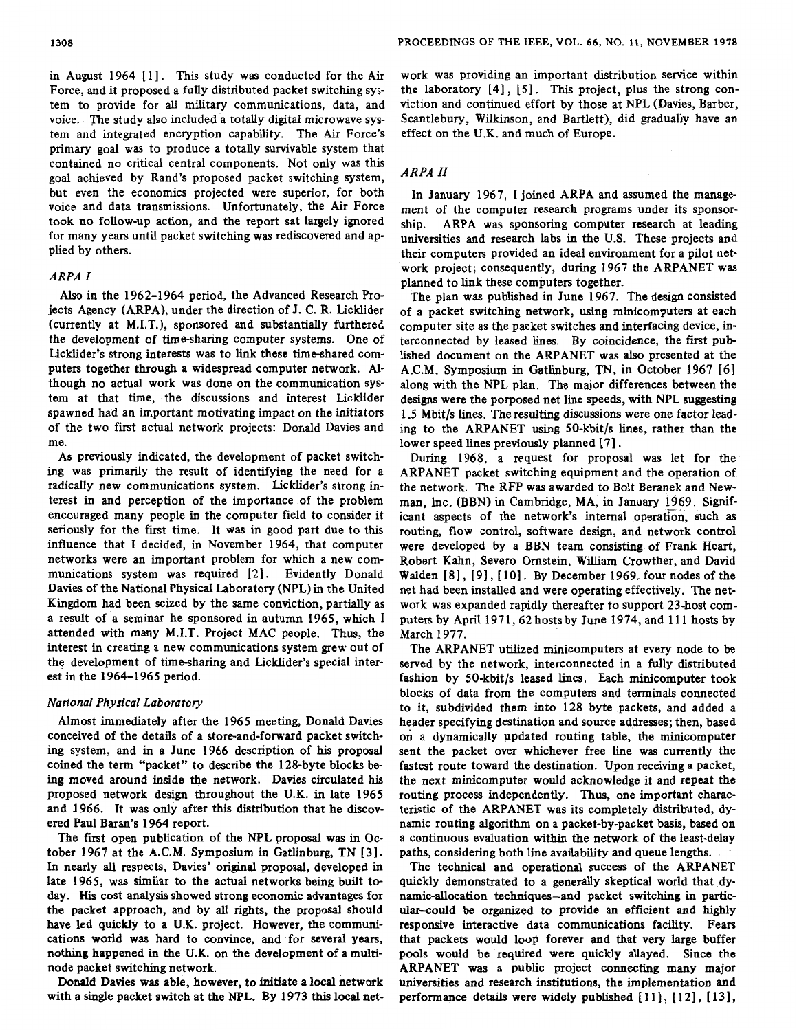in August 1964 [1]. This study was conducted for the Air Force, and it proposed a fully distributed packet switching system to provide for alI military communications, data, and voice. The study also included a totally digital microwave system and integrated encryption capability. The Air Force's primary goal was to produce a totally survivable system that contained no critical central components. Not only was this goal achieved by Rand's proposed packet switching system, but even the economics projected were superior, for both voice and data transmissions. Unfortunately, the Air Force took no follow-up action, and the report sat largely ignored for many years until packet switching was rediscovered and applied by others.

# *ARPA I*

Also in the 1962-1 964 period, the Advanced Research Projects Agency (ARPA), under the direction of J. C. R. Licklider (currently at M.I.T.), sponsored and substantially furthered the development of time-sharing computer systems. One of Licklider's strong interests was to link these time-shared computers together through a widespread computer network. Although no actual work was done on the communication system at that time, the discussions and interest Licklider spawned had an important motivating impact on the initiators of the two first actual network projects: Donald Davies and me.

As previously indicated, the development of packet switching was primarily the result of identifying the need for a radically new communications system. Licklider's strong interest in and perception of the importance of the problem encouraged many people in the computer field to consider it seriously for the first time. It was in good part due to this influence that I decided, in November 1964, that computer networks were an important problem for which a new communications system was required [2]. Evidently Donald Davies of the National Physical Laboratory (NPL) in the United Kingdom had been seized by the same conviction, partially as a result of a seminar he sponsored in autumn 1965, which **<sup>I</sup>** attended with many M.I.T. Project MAC people. Thus, the interest in creating a new communications system grew out of the development of time-sharing and Licklider's special interest in the 1964-1965 period.

## *National Physical Laboratory*

Almost immediately after the 1965 meeting, Donald Davies conceived of the details of a store-and-forward packet switching system, and in a June 1966 description of **his** proposal coined the term "packet" to describe the 128-byte blocks being moved around inside the network. Davies circulated **his**  proposed network design throughout the U.K. in late 1965 and 1966. It was only after **this** distribution that he discovered Paul Baran's 1964 report.

The first open publication of the NPL proposal was in October 1967 at the A.C.M. Symposium in Gatlinburg, TN [3]. In nearly all respects, Davies' original proposal, developed in late 1965, was similar to the actual networks being built today. His cost analysis showed strong economic advantages for the packet approach, and by all rights, the proposal should have led quickly to a **U.K.** project. However, the communications world was hard to convince, and for several years, nothing happened in the U.K. on the development of a multinode packet switching network.

Donald Davies was able, however, to initiate a local network with a single packet switch at the **NPL.** By 1973 this local network was providing an important distribution service within the laboratory [4], [5]. This project, plus the strong conviction and continued effort by those at NPL (Davies, Barber, Scantlebury, Wilkinson, and Bartlett), did gradually have an effect on the U.K. and much of Europe.

## *ARPA II*

In January 1967, **I** joined ARPA and assumed the management of the computer research programs under its sponsorship. ARPA was sponsoring computer research at leading universities and research labs in the U.S. These projects and their computers provided an ideal environment for a pilot network project; consequently, during 1967 the ARPANET was planned to link these computers together.

The plan was published in June 1967. The design consisted of a packet switching network, **using** minicomputers at each computer site as the packet switches and interfacing device, interconnected by leased lines. By coincidence, the first published document on the ARPANET was **also** presented at the A.C.M. Symposium in Gatlinburg, TN, in October 1967 [61 along with the NPL plan. The major differences between the designs were the porposed net line speeds, with NPL suggesting 1.5 Mbit/s lines. The resulting discussions were one factor leading to the ARPANET using 50-kbit/s lines, rather than the lower speed lines previously planned [7].

During 1968, a request for proposal was let for the ARPANET packet switching equipment and the operation of, the network. The RFP was awarded to Bolt Beranek and Newman, Inc. (BBN) in Cambridge, MA, in January 1969. Significant aspects of the network's internal operation, such **as**  routing, flow control, software design, and network control were developed by a BBN team consisting of Frank Heart, Robert Kahn, Severo Omstein, William Crowther, and David Walden [8], [9], [10]. By December 1969. four nodes of the net had been installed and were operating effectively. The network was expanded rapidly thereafter to support 23-host computers by April 1971, 62 hosts by June 1974, and 111 hosts by March 1977.

The ARPANET utilized minicomputers at every node to be served by the network, interconnected in a fully distributed fashion by 50-kbit/s leased lines. Each minicomputer took blocks of data from the computers and terminals connected to it, subdivided them into 128 byte packets, and added a header specifying destination and source addresses; then, based **on** a dynamically updated routing table, the minicomputer sent the packet over whichever free line was currently the fastest route toward the destination. Upon receiving a packet, the next minicomputer would acknowledge it and repeat the routing process independently. Thus, one important characteristic of the ARPANET was its completely distributed, dynamic routing algorithm on a packet-by-packet basis, based on a continuous evaluation within the network of the least-delay paths, considering both line availability and queue lengths.

The technical and operational success of the ARPANET quickly demonstrated to a generally skeptical world that dynamic-allocation techniques-and packet switching in particular-could be organized to provide an efficient and highly responsive interactive data communications facility. Fears that packets would loop forever and that very large buffer pools would be required were quickly allayed. Since the ARPANET was a public project connecting many major universities and research institutions, the implementation and performance details were widely published  $[11]$ ,  $[12]$ ,  $[13]$ ,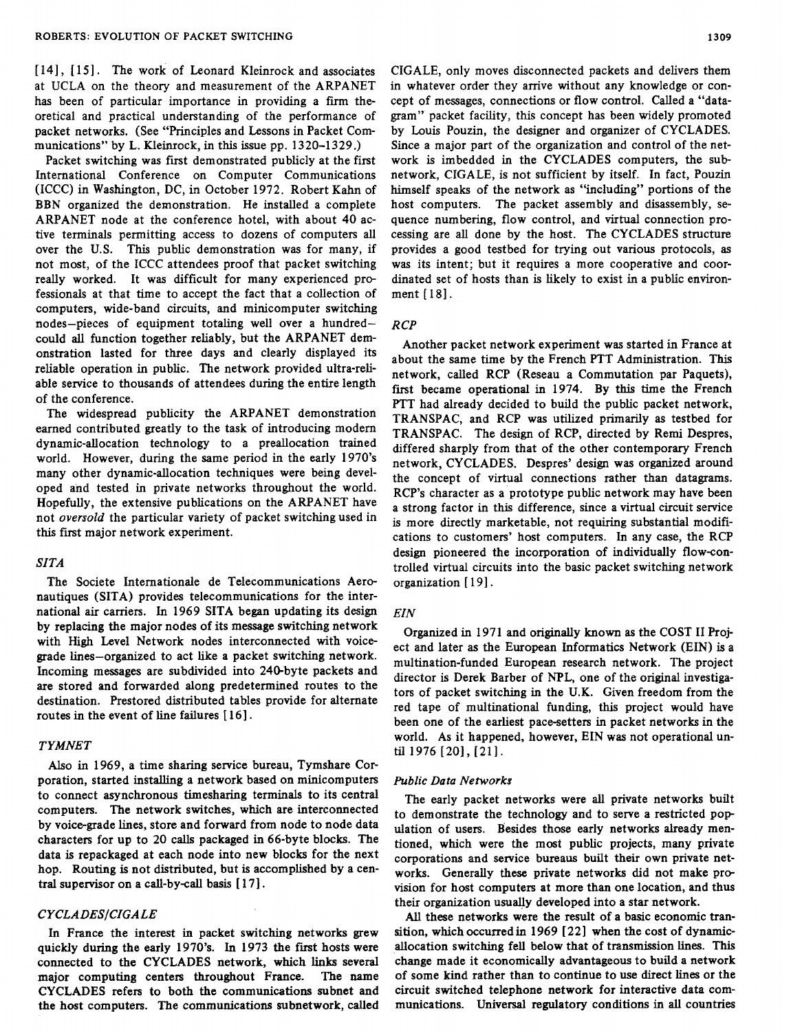[14], [15]. The work of Leonard Kleinrock and associates at UCLA on the theory and measurement of the ARPANET has been of particular importance in providing a firm theoretical and practical understanding of the performance of packet networks. (See "Principles and Lessons in Packet Communications" by L. Kleinrock, in this issue pp. 1320-1329.)

Packet switching was first demonstrated publicly at the first International Conference on Computer Communications (ICCC) in Washington, DC, in October 1972. Robert Kahn of BBN organized the demonstration. He installed a complete ARPANET node at the conference hotel, with about 40 active terminals permitting access to dozens of computers all over the U.S. This public demonstration was for many, if not most, of the ICCC attendees proof that packet switching really worked. It was difficult for many experienced professionals at that time to accept the fact that a collection of computers, wide-band circuits, and minicomputer switching nodes-pieces of equipment totaling well over a hundredcould all function together reliably, but the ARPANET demonstration lasted for three days and clearly displayed its reliable operation in public. The network provided ultra-reliable service to thousands of attendees during the entire length of the conference.

The widespread publicity the ARPANET demonstration earned contributed greatly to the task of introducing modem dynamic-allocation technology to a preallocation trained world. However, during the same period in the early 1970's many other dynamic-allocation techniques were being developed and tested in private networks throughout the world. Hopefully, the extensive publications on the ARPANET have not *oversold* the particular variety of packet switching used in this first major network experiment.

# *SZTA*

The Societe Internationale de Telecommunications Aeronautiques (SITA) provides telecommunications for the international *air* carriers. In 1969 SITA began updating its design by replacing the major nodes of its message switching network with High Level Network nodes interconnected with voicegrade lines-organized to act like a packet switching network. Incoming messages are subdivided into 240-byte packets and are stored and forwarded along predetermined routes to the destination. Prestored distributed tables provide for alternate routes in the event of line failures [16].

## *TYMNET*

*Also* in 1969, a time sharing service bureau, Tymshare Corporation, started installing a network based on minicomputers to connect asynchronous timesharing terminals to its central computers. The network switches, which are interconnected by voice-grade lines, store and forward from node to node data characters for **up** to **20** calls packaged in 66-byte blocks. The data is repackaged at each node into new blocks for the next hop. Routing is not distributed, but is accomplished by a central supervisor on a call-by-call basis [ 1 **7** I.

# *CYCLADESICIGALE*

In France the interest in packet switching networks grew quickly during the early 1970's. In 1973 the first hosts were connected to the CYCLADES network, which links several major computing centers throughout France. The name CYCLADES refers to both the communications subnet and the host computers. The communications subnetwork, called

CIGALE, only moves disconnected packets and delivers them in whatever order they arrive without any knowledge or concept of messages, connections or flow control. Called a "datagram" packet facility, this concept has been widely promoted by **Louis** Pouzin, the designer and organizer of CYCLADES. Since a major part of the organization and control of the network is imbedded in the CYCLADES computers, the **sub**network, CIGALE, **is** not sufficient by itself. In fact, Pouzin himself speaks of the network as "including" portions of the host computers. The packet assembly and disassembly, sequence numbering, flow control, and virtual connection processing are all done by the host. The CYCLADES structure provides a good testbed for trying out various protocols, as was its intent; but it requires a more cooperative and coordinated set of hosts than is likely to exist in a public environment [ 181.

# *R CP*

Another packet network experiment was started in France at about the same time by the French PTT Administration. This network, called RCP (Reseau a Commutation par Paquets), first became operational in 1974. By this time the French PTT had already decided to build the public packet network, TRANSPAC, and RCP was utilized primarily **as** testbed for TRANSPAC. The design of RCP, directed by Remi Despres, differed sharply from that of the other contemporary French network, CYCLADES. Despres' design was organized around the concept of virtual connections rather than datagrams. RCP's character as a prototype public network may have been a strong factor in this difference, since a virtual circuit service is more directly marketable, not requiring substantial modifications to customers' host computers. In any case, the RCP design pioneered the incorporation of individually flow-controlled virtual circuits into the basic packet switching network organization [19].

## *EZN*

Organized in 1971 and originally known as the COST II Project and later **as** the European Informatics Network (EIN) is a multination-funded European research network. The project director is Derek Barber of NPL, one of the original investigators of packet switching in the U.K. Given freedom from the red tape of multinational funding, this project would have been one of the earliest pace-setters in packet networks in the world. As it happened, however, EIN was not operational until 1976 [20], [21].

#### *Public Data Networks*

The early packet networks were all private networks built to demonstrate the technology and to serve a restricted pop ulation of users. Besides those early networks already mentioned, which were the most public projects, many private corporations and service bureaus built their own private networks. Generally these private networks did not make provision for host computers at more than one location, and thus their organization usually developed into a star network.

*All* these networks were the result of a basic economic transition, which occurred in 1969 [ **221** when the cost of dynamicallocation switching fell below that **of** transmission lines. This change made it economically advantageous to build a network of some kind rather than to continue to use direct lines or the circuit switched telephone network for interactive data communications. Universal regulatory conditions in all countries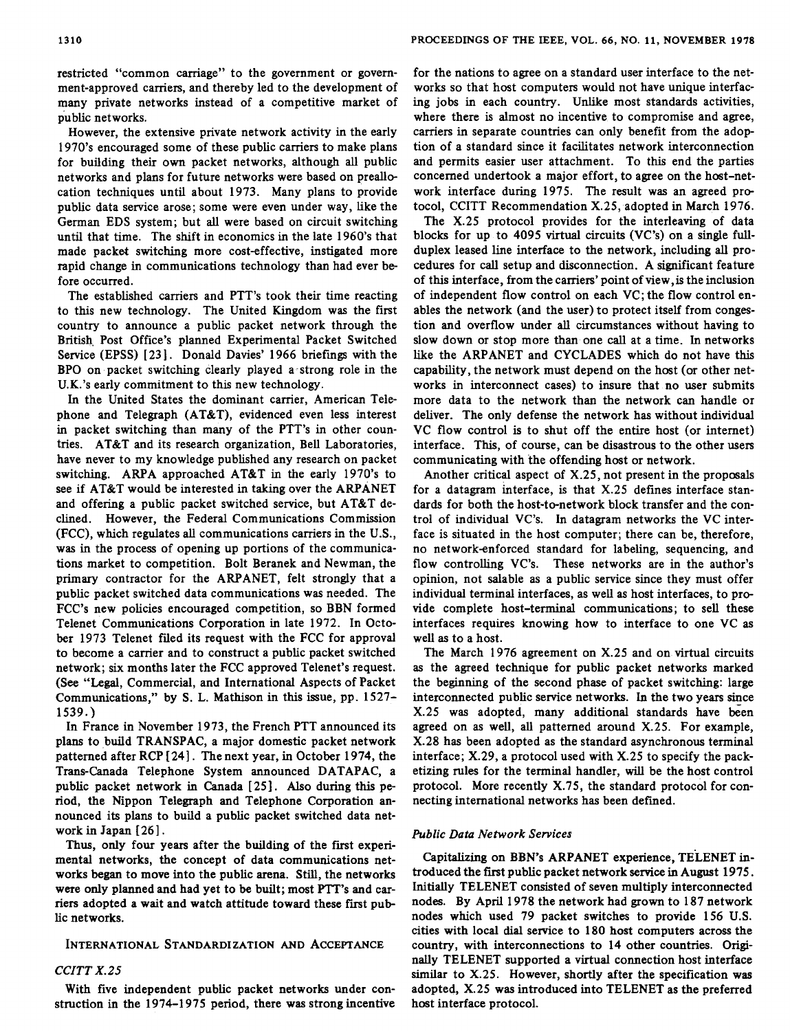restricted "common carriage" to the government or government-approved carriers, and thereby led to the development of many private networks instead of a competitive market of public networks.

However, the extensive private network activity in the early 1970's encouraged some of these public carriers to make plans for building their own packet networks, although all public networks and plans for future networks were based on preallocation techniques until about 1973. Many plans to provide public data service arose; some were even under way, like the German EDS system; but all were based on circuit switching until that time. The shift in economics in the late 1960's that made packet switching more cost-effective, instigated more rapid change in communications technology than had ever before occurred.

The established carriers and PTT's took their time reacting to this new technology. The United Kingdom was the first country to announce a public packet network through the British, Post Office's planned Experimental Packet Switched Service (EPSS) [23]. Donald Davies' 1966 briefings with the BPO on packet switching clearly played a-strong role in the U.K.'s early commitment to this new technology.

In the United States the dominant carrier, American Telephone and Telegraph (AT&T), evidenced even less interest in packet switching than many of the PTT's in other countries. AT&T and its research organization, Bell Laboratories, have never to my knowledge published any research on packet switching. ARPA approached AT&T in the early 1970's to see if AT&T would be interested in taking over the ARPANET and offering a public packet switched service, but AT&T declined. However, the Federal Communications Commission (FCC), which regulates all communications carriers in the U.S., was in the process of opening up portions of the communications market to competition. Bolt Beranek and Newman, the primary contractor for the ARPANET, felt strongly that a public packet switched data communications was needed. The FCC's new policies encouraged competition, so BBN formed Telenet Communications Corporation in late 1972. In October 1973 Telenet filed its request with the FCC for approval to become a carrier and to construct a public packet switched network; six months later the FCC approved Telenet's request. *(See* **"Legal,** Commercial, and International Aspects of Packet Communications," by **S.** L. Mathison in **this** issue, pp. 1527- 1539.)

In France in November 1973, the French PTT announced its plans to build TRANSPAC, a major domestic packet network patterned after RCP [24]. The next year, in October 1974, the Trans-Canada Telephone System announced DATAPAC, a public packet network in Canada [ 251. *Also* during this period, the Nippon Telegraph and Telephone Corporation announced its plans to build a public packet switched data network in Japan [26].

**Thus,** only four years after the building of the first experimental networks, the concept of data communications networks began to move into the public arena. Still, the networks were only planned and had yet to be built; most **PTT's** and carriers adopted a wait and watch attitude toward these first public networks.

# **INTERNATIONAL STANDARD1 ZATION AND ACCEPTANCE**

# *CCITT X.25*

With five independent public packet networks under construction in the 1974-1975 period, there was strong incentive for the nations to agree on a standard user interface to the networks so that host computers would not have unique interfacing jobs in each country. Unlike most standards activities, where there is almost no incentive to compromise and agree, carriers in separate countries can only benefit from the adop tion of a standard since it facilitates network interconnection and permits easier user attachment. To this end the parties concerned undertook a major effort, to agree on the host-network interface during 1975. The result was an agreed protocol, CCITT Recommendation X.25, adopted in March 1976.

The X.25 protocol provides for the interleaving of data blocks for up to 4095 virtual circuits (VC's) on a single fullduplex leased line interface to the network, including all procedures for *call* setup and disconnection. A significant feature of this interface, from the carriers' point of view,is the inclusion of independent flow control on each VC; the flow control enables the network (and the user) to protect itself from congestion and overflow under **all** circumstances without having to slow down or stop more than one call at a time. In networks like the ARPANET and CYCLADES which do not have this capability, the network must depend on the host (or other networks in interconnect cases) to insure that no user submits more data to the network than the network can handle or deliver. The only defense the network has without individual VC flow control is to shut off the entire host (or internet) interface. This, of course, can be disastrous to the other users communicating with the offending host or network.

Another critical aspect of X.25, not present in the proposals for a datagram interface, is that X.25 defines interface standards for both the host-to-network block transfer and the control of individual VC's. In datagram networks the VC interface is situated in the host computer; there can be, therefore, no networkenforced standard for labeling, sequencing, and flow controlling VC's. These networks are in the author's opinion, not salable **as** a public service since they must offer individual terminal interfaces, as well **as** host interfaces, to provide complete host-terminal communications; to sell these interfaces requires knowing how to interface to one VC **as**  well **as** to a host.

The March 1976 agreement on X.25 and on virtual circuits **as** the agreed technique for public packet networks marked the beginning of the second phase of packet switching: large interconnected public service networks. In the two years since X.25 was adopted, many additional standards have been agreed on **as** well, **all** patterned around X.25. For example, X.28 has been adopted as the standard asynchronous terminal interface; X.29, a protocol used with X.25 to specify the packetizing rules for the terminal handler, will be the host control protocol. More recently X.75, the standard protocol for connecting international networks has been defmed.

## *Public Data Network Services*

Capitalizing on BBN's ARPANET experience, TELENET introduced the first public packet network sevice in August 1975. Initially TELENET consisted of seven multiply interconnected nodes. By April 1978 the network had **grown** to 187 network nodes which used 79 packet switches to provide 156 U.S. cities with local **dial** service to 180 host computers across the country, with interconnections to 14 other countries. **Origi**nally TELENET supported a virtual connection host interface similar to X.25. However, shortly after the specification was adopted, X.25 was introduced into TELENET as the preferred host interface protocol.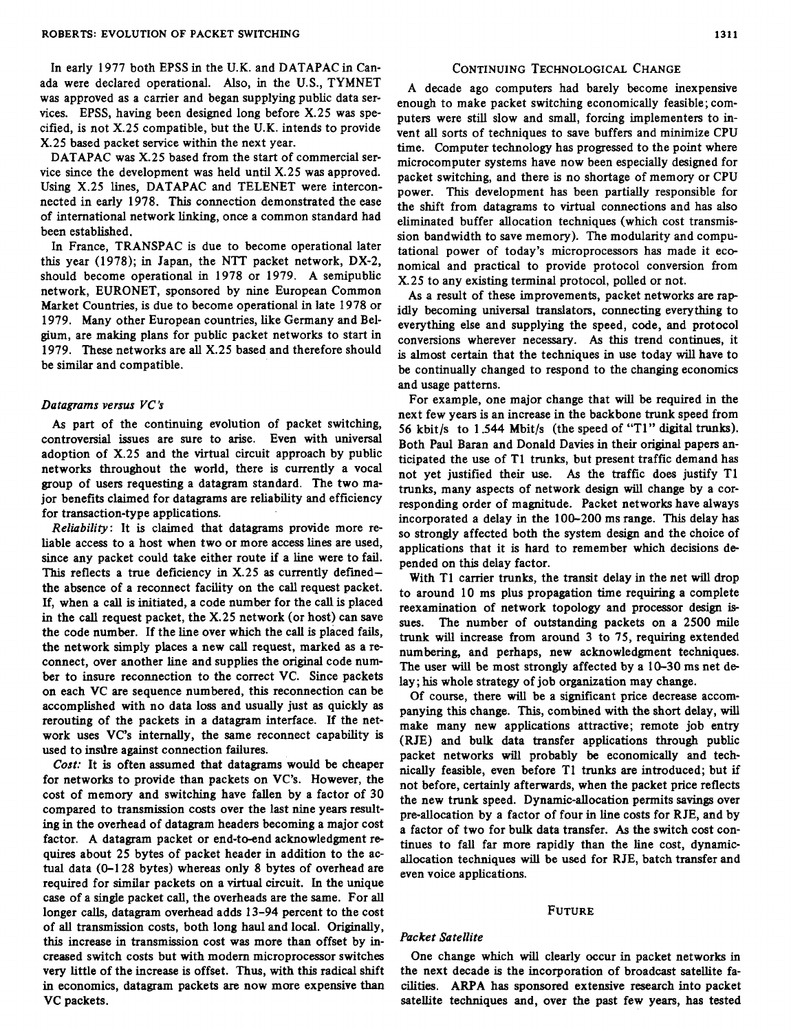In early 1977 both EPSS in the U.K. and DATAPAC in Canada were declared operational. *Also,* in the U.S., TYMNET was approved as a carrier and began supplying public data services. EPSS, having been designed long before X.25 was specified, is not X.25 compatible, but the U.K. intends to provide X.25 based packet service within the next year.

DATAPAC was X.25 based from the start of commercial service since the development was held until X.25 was approved. Using X.25 lines, DATAPAC and TELENET were interconnected in early 1978. This connection demonstrated the ease of international network linking, once a common standard had been established.

In France, TRANSPAC is due to become operational later this year (1978); in Japan, the NTT packet network, DX-2, should become operational in 1978 or 1979. A semipublic network, EURONET, sponsored by nine European Common Market Countries, is due to become operational in late 1978 or 1979. Many other European countries, like Germany and Belgium, are making plans for public packet networks to start in 1979. These networks are all X.25 based and therefore should be similar and compatible.

## *Datagrams versus VC'S*

*As* part of the continuing evolution of packet switching, controversial issues are sure to arise. Even with universal adoption of X.25 and the virtual circuit approach by public networks throughout the world, there is currently a vocal group of **users** requesting a datagram standard. The two major benefits claimed for datagrams are reliability and efficiency for transaction-type applications.

*Reliability:* It **is** claimed that datagrams provide more reliable access to a host when two or more access lines are used, since any packet could take either route if a line were to fail. This reflects a true deficiency in X.25 **as** currently definedthe absence of a reconnect facility on the call request packet. If, when a call is initiated, a code number for the call is placed in the call request packet, the X.25 network (or host) can save the code number. If the line over which the call is placed fails, the network simply places a new call request, marked **as** a reconnect, over another line and supplies the original code number to insure reconnection to the correct VC. Since packets on each VC are sequence numbered, this reconnection can be accomplished with no data loss and usually just **as** quickly **as**  rerouting of the packets in a datagram interface. If the network uses VC's internally, the same reconnect capability is used to insdre against connection failures.

*Cost:* It **is** often assumed that datagrams would be cheaper for networks to provide than packets on VC's. However, the cost of memory and switching have fallen by a factor of 30 compared to transmission costs over the last nine years resulting in the overhead of datagram headers becoming a major cost factor. A datagram packet or end-to-end acknowledgment requires about 25 bytes of packet header in addition to the actual data (0-128 bytes) whereas only 8 bytes of overhead are required for similar packets on a virtual circuit. In the unique case of a single packet call, the overheads are the same. For all longer calls, datagram overhead adds 13-94 percent to the cost of all transmission costs, both long haul and local. Originally, this increase in transmission cost was more than offset by increased switch costs but with modem microprocessor switches very little of the increase is offset. Thus, with this radical shift in economics, datagram packets **are** now more expensive than VC packets.

# **CONTINUING TECHNOLOGICAL CHANGE**

A decade ago computers had barely become inexpensive enough to make packet switching economically feasible; computers were still slow and small, forcing implementers to invent all **sorts** of techniques to save buffers and minimize CPU time. Computer technology has progressed to the point where microcomputer systems have now been especially designed for packet switching, and there is no shortage of memory or CPU power. This development has been partially responsible for the shift from datagrams to virtual connections and has also eliminated buffer allocation techniques (which cost transmission bandwidth to save memory). The modularity and computational power of today's microprocessors has made it economical and practical to provide protocol conversion from X.25 to any existing terminal protocol, polled or not.

**As** a result of these improvements, packet networks are rap idly becoming universal translators, connecting everything to everything else and supplying the speed, code, and protocol conversions wherever necessary. *As this* trend continues, it is almost certain that the techniques in use today will have to be continually changed to respond to the changing economics and usage patterns.

For example, one major change that will be required in the next few years is an increase in the backbone trunk speed from 56 kbit/s to 1.544 Mbit/s (the speed of "T1" digital trunks). Both Paul Baran and Donald Davies in their original papers anticipated the use of T1 trunks, but present traffic demand has not yet justified their use. *As* the traffic does justify T1 trunks, many aspects of network design will change by a corresponding order of magnitude. Packet networks have always incorporated a delay in the 100-200 ms range. This delay has **so** strongly affected both the system design and the choice of applications that it is hard to remember which decisions de pended on this delay factor.

With T1 carrier trunks, the transit delay in the net will drop to around 10 ms plus propagation time requiring a complete reexamination of network topology and processor design is**sues.** The number of outstanding packets on a 2500 mile trunk will increase from around 3 to **75,** requiring extended numbering, and perhaps, new acknowledgment echniques. The user will be most strongly affected by a 10-30 ms net delay; his whole strategy of job organization may change.

Of course, there will be a significant price decrease accompanying this change. This, combined with the short delay, will make many new applications attractive; remote job entry (RJE) and bulk data transfer applications **through** public packet networks will probably be economically and technically feasible, even before T1 trunks are introduced; but if not before, certainly afterwards, when the packet price reflects the new trunk speed. Dynamic-allocation permits **savings** over pre-allocation by a factor of four in line costs for RJE, and by a factor of two for bulk data transfer. *As* the switch cost continues to fall far more rapidly than the line cost, dynamicallocation techniques will be used for RJE, batch transfer and even voice applications.

# **FUTURE**

# *Packet Satellite*

One change which will clearly occur in packet networks in the next decade is the incorporation of broadcast satellite facilities. **ARPA** has sponsored extensive research into packet satellite techniques and, over the past few years, has tested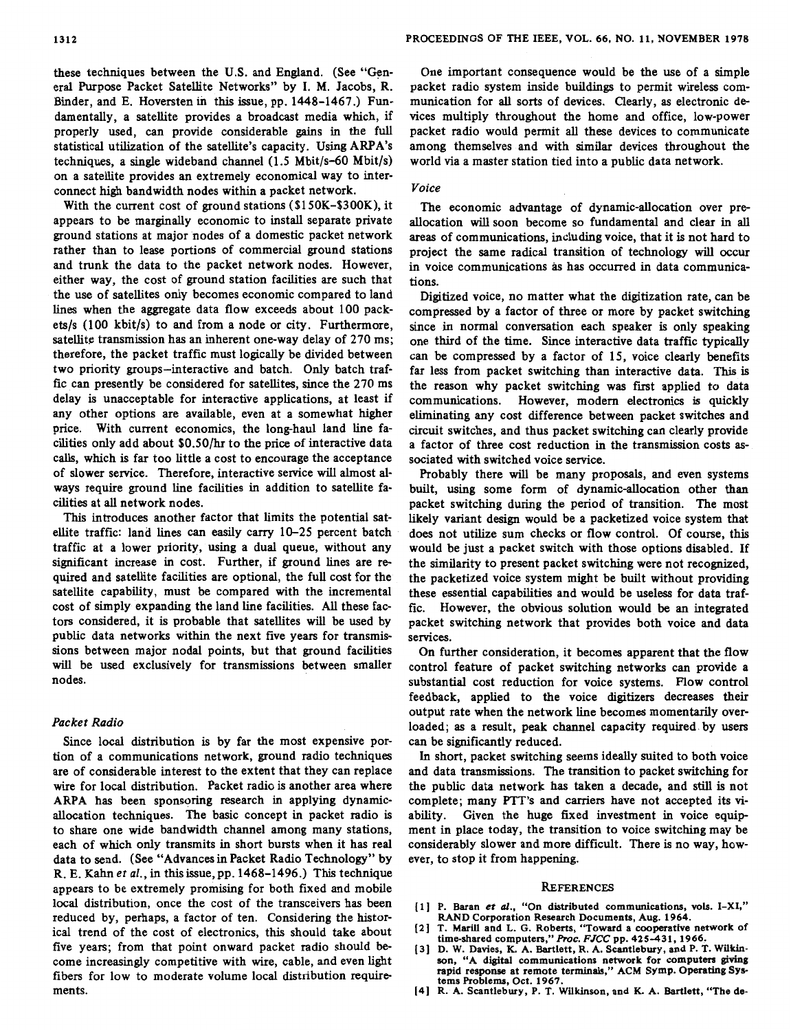With the current cost of ground stations (\$1 **50K-\$300K),** it appears to be marginally economic to install separate private ground stations at major nodes of a domestic packet network rather than to lease portions of commercial ground stations and trunk the data to the packet network nodes. However, either way, the cost of ground station facilities are such that the use of satellites only becomes economic compared to land lines when the aggregate data flow exceeds about 100 packets/s (100 kbit/s) to and from a node or city. Furthermore, satellite transmission has an inherent one-way delay of 270 **ms;**  therefore, the packet traffic must logically be divided between two priority groups-interactive and batch. Only batch traffic can presently be considered for satellites, since the 270 ms delay **is** unacceptable for interactive applications, at least if any other options are available, even at a somewhat higher price. With current economics, the long-haul land line facilities only add about \$O.SO/hr to the price of interactive data calls, which is far too little a cost to encourage the acceptance of slower service. Therefore, interactive service will almost always require ground line facilities in addition to satellite facilities at all network nodes.

This introduces another factor that limits the potential satellite traffic: land lines *can* easily carry 10-25 percent batch traffic at a lower priority, using a dual queue, without any significant increase in cost. Further, if ground lines are required and satellite facilities are optional, the full cost for the satellite capability, must be compared with the incremental cost of simply expanding the land line facilities. *All* these factors considered, it is probable that satellites will be used by public data networks within the next five years for transmissions between major nodal points, but that ground facilities will be used exclusively for transmissions between smaller nodes.

# *Packet Radio*

Since local distribution is by far the most expensive portion of a communications network, ground radio techniques are of considerable interest to the extent that they can replace wire for local distribution. Packet radio is another area where ARPA has been sponsoring research in applying dynamicallocation techniques. The basic concept in packet radio is to share one wide bandwidth channel among many stations, each of which only transmits in short bursts when it has real data to send. (See "Advances in Packet Radio Technology" by R. E. **Kahn** *et al.,* in thisissue,pp. 1468-1496.) This technique appears to be extremely promising for both fixed and mobile local distribution, once the cost of the transceivers has been reduced by, perhaps, a factor of ten. Considering the historical trend of the cost of electronics, this should take about five years; from that point onward packet radio should become increasingly competitive with wire, cable, and even light fibers for low to moderate volume local distribution requirements.

One important consequence would be the use of a simple packet radio system inside buildings to permit wireless communication for all **sorts** of devices. Clearly, **as** electronic devices multiply throughout the home and office, low-power packet radio would permit all these devices to communicate among themselves and with similar devices throughout the world via a master station tied into a public data network.

# *Voice*

The economic advantage of dynamic-allocation over preallocation will soon become so fundamental and clear in all **areas** of communications, including voice, that it is not hard to project the same radical transition of technology will occur in voice communications às has occurred in data communications.

Digitized voice, no matter what the digitization rate, can be compressed by a factor of three or more by packet switching since in normal conversation each speaker is only speaking one third of the time. Since interactive data traffic typically can be compressed by a factor of 15, voice clearly benefits far less from packet switching than interactive **data.** This is the reason why packet switching was first applied to data communications. However, modem electronics is quickly eliminating any cost difference between packet switches and circuit switches, and thus packet switching can clearly provide a factor of three cost reduction in the transmission costs **as**sociated with switched voice service.

Probably there will be many proposals, and even systems built, using some form of dynamic-allocation other than packet switching during the period of transition. The most likely variant design would be a packetized voice system that does not utilize sum checks or flow control. Of course, this would be just a packet switch with those options disabled. If the similarity to present packet switching were not recognized, the packetized voice system might be built without providing these essential capabilities and would be useless for data traffic. However, the obvious solution would be an integrated packet switching network that provides both voice and data services.

On further consideration, it becomes apparent that the flow control feature of packet switching networks can provide a substantial cost reduction for voice systems. Flow control feedback, applied to the voice digitizers decreases their output rate when the network line becomes momentarily overloaded; **as** a result, peak channel capacity required. by users can be significantly reduced.

In short, packet switching seems ideally suited to both voice and data transmissions. The transition to packet switching for the public data network has taken a decade, and **still** is not complete; many PTT's and carriers have not accepted its **vi**ability. Given the huge fixed investment in voice equipment in place today, the transition to voice switching may be considerably slower and more difficult. There is no way, however, to stop it from happening.

## **REFERENCES**

- $[1]$  **P.** Baran *et al.*, "On distributed communications, vols. I-XI,"
- **RAND Corporation Research Documents, Aug. 1964. [2] T. Marill and L. G. Roberts, "Toward a cooperative network of time-shared computers,"Proc. FJCCpp. 425431, 1966.**
- **(31 D. W. Davies, K. A. Bartlett, R. A. Scantlebury, and P. T. Wilkinson. "A digital communications network for computers giving rapid response at remote terminals," ACM Symp. Operating** *Sys***tems Roblems, Oct. 1967.**
- **[4] R. A. Scantlebury, P. T. Wilkinson, and K. A. Bartlett, "The de-**